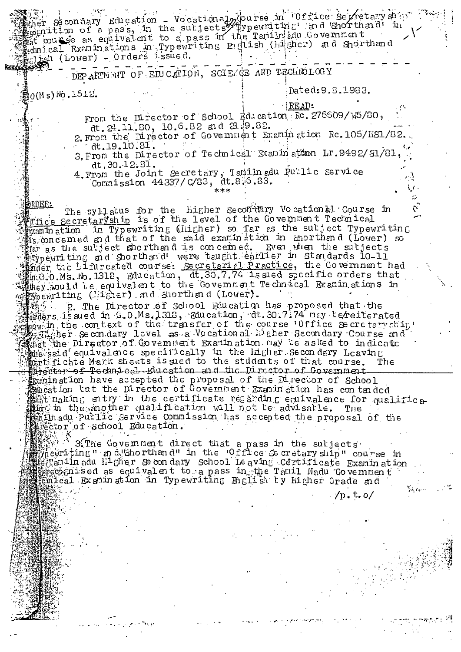wher secondary Education - Vocational purse in 'Office Secretary ship aglish (Lower) - Orders issued.

DEPARTMENT OF EIUCATION, SCIENCE AND TECHNOLOGY

 $\mathbb{B}_0$ (Ms)No.1512.

Dated: 9.8.1983.

READ:

From the Director of School Education RC. 276609/W5/80, dt. 24.11.80, 10.6.82 and 21.9.82.

2. From the Director of Government Examination Rc. 105/HS1/82. dt. 19. 10. 81.

3. From the Director of Technical Examination Lr. 9492/51/81  $dt.30.12.31.$ 

4. From the Joint Secretary, Tamiln adu Pullic Service<br>Commission 44337/C/83, dt.8.6.83.

9RDER -The syllatus for the higher Secontery Vocational Course in ffice Secretaryship is of the level of the Government Technical when in Typewriting (higher) so far as the subject Typewriting Suppose the said examination in Sporthand (Lover) so the said examination in Sporthand (Lover) so the said examination in Sporthand (Lover) so the said examination in Sporthand (Lover) so the sale subject shorthand is conc sittley, would be equivalent to the Covemment Technical Examinations in  *Simperiting (higher)* and shorth and (Lower).

"赌场图" 2. The Director of School Education has proposed that the staters is sued in G.O.Ms.1318, Rducation, dt.30.7.74 may terrated thow in the context of the transfer of the course Office Secretary hip! Mant the Director of Government Examination may be asked to indicate<br>where a single is and the manner of the secondary Leaving Marector of Technical Blucation and the Director of Government Examination have accepted the proposal of the Director of School<br>American bar accepted the proposal of the Director of School<br>American the proposal of the Director of School<br>American the certificate regarding equivalence f animadu Purlic Service Commission has accepted the proposal of the

3 The Government direct that a pass in the suljects when ting" and Shorthand" in the Office & cretary ship" course in 翻打amin adu H<sup>i</sup>gher Se on dary school Leaving Certificate Examin ation steated mised as equivalent to a pass in the Tamil Nadu Government 疆韵mical Examination in Typewriting English by higher Grade and

/n.t.o/